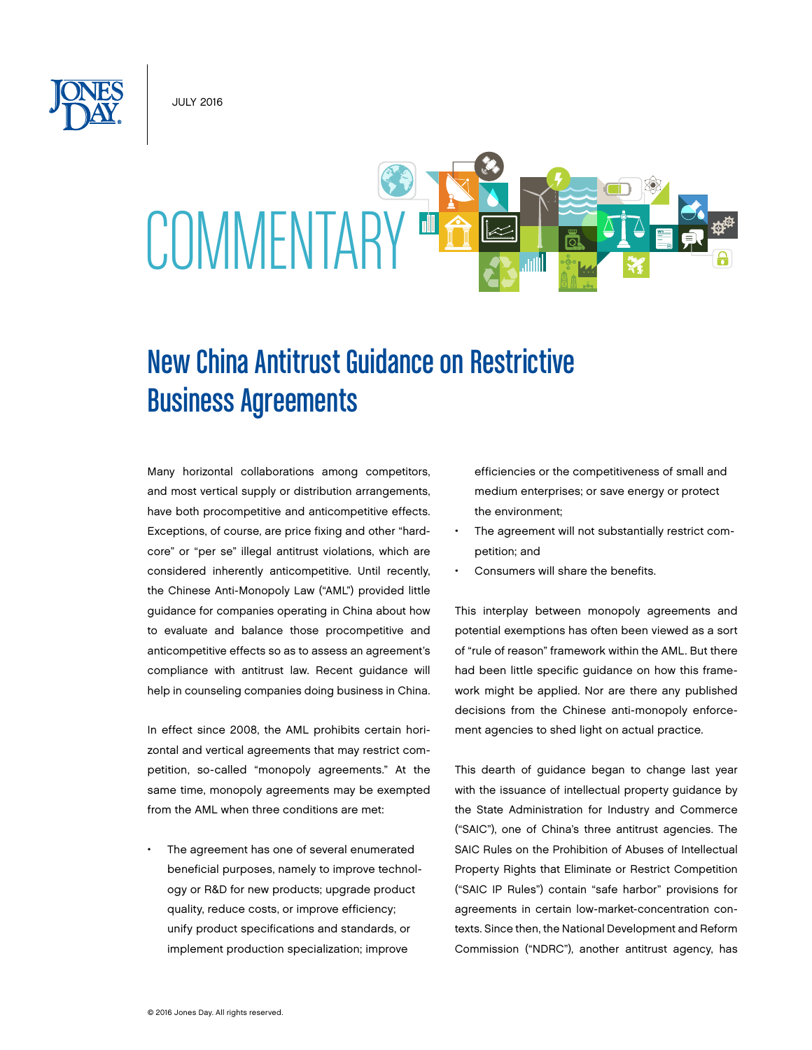July 2016



# New China Antitrust Guidance on Restrictive Business Agreements

Many horizontal collaborations among competitors, and most vertical supply or distribution arrangements, have both procompetitive and anticompetitive effects. Exceptions, of course, are price fixing and other "hardcore" or "per se" illegal antitrust violations, which are considered inherently anticompetitive. Until recently, the Chinese Anti-Monopoly Law ("AML") provided little guidance for companies operating in China about how to evaluate and balance those procompetitive and anticompetitive effects so as to assess an agreement's compliance with antitrust law. Recent guidance will help in counseling companies doing business in China.

In effect since 2008, the AML prohibits certain horizontal and vertical agreements that may restrict competition, so-called "monopoly agreements." At the same time, monopoly agreements may be exempted from the AML when three conditions are met:

The agreement has one of several enumerated beneficial purposes, namely to improve technology or R&D for new products; upgrade product quality, reduce costs, or improve efficiency; unify product specifications and standards, or implement production specialization; improve

efficiencies or the competitiveness of small and medium enterprises; or save energy or protect the environment;

- The agreement will not substantially restrict competition; and
- Consumers will share the benefits.

This interplay between monopoly agreements and potential exemptions has often been viewed as a sort of "rule of reason" framework within the AML. But there had been little specific guidance on how this framework might be applied. Nor are there any published decisions from the Chinese anti-monopoly enforcement agencies to shed light on actual practice.

This dearth of guidance began to change last year with the issuance of intellectual property guidance by the State Administration for Industry and Commerce ("SAIC"), one of China's three antitrust agencies. The SAIC Rules on the Prohibition of Abuses of Intellectual Property Rights that Eliminate or Restrict Competition ("SAIC IP Rules") contain "safe harbor" provisions for agreements in certain low-market-concentration contexts. Since then, the National Development and Reform Commission ("NDRC"), another antitrust agency, has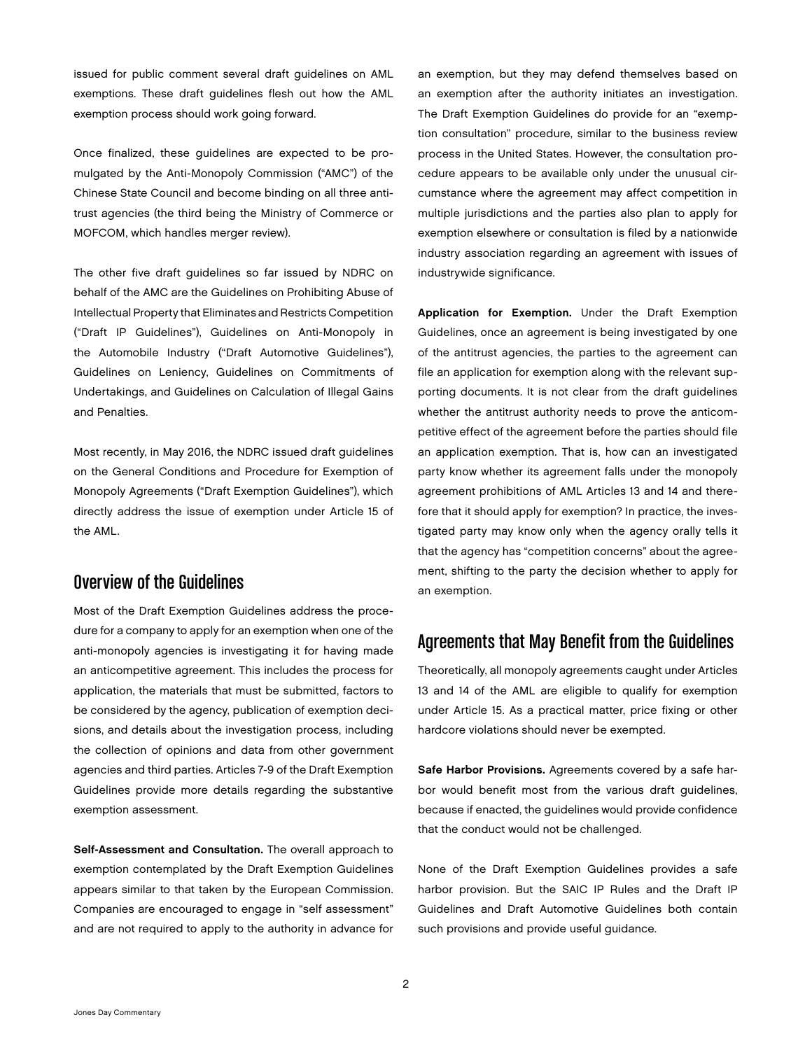issued for public comment several draft guidelines on AML exemptions. These draft guidelines flesh out how the AML exemption process should work going forward.

Once finalized, these guidelines are expected to be promulgated by the Anti-Monopoly Commission ("AMC") of the Chinese State Council and become binding on all three antitrust agencies (the third being the Ministry of Commerce or MOFCOM, which handles merger review).

The other five draft guidelines so far issued by NDRC on behalf of the AMC are the Guidelines on Prohibiting Abuse of Intellectual Property that Eliminates and Restricts Competition ("Draft IP Guidelines"), Guidelines on Anti-Monopoly in the Automobile Industry ("Draft Automotive Guidelines"), Guidelines on Leniency, Guidelines on Commitments of Undertakings, and Guidelines on Calculation of Illegal Gains and Penalties.

Most recently, in May 2016, the NDRC issued draft guidelines on the General Conditions and Procedure for Exemption of Monopoly Agreements ("Draft Exemption Guidelines"), which directly address the issue of exemption under Article 15 of the AML.

### Overview of the Guidelines

Most of the Draft Exemption Guidelines address the procedure for a company to apply for an exemption when one of the anti-monopoly agencies is investigating it for having made an anticompetitive agreement. This includes the process for application, the materials that must be submitted, factors to be considered by the agency, publication of exemption decisions, and details about the investigation process, including the collection of opinions and data from other government agencies and third parties. Articles 7-9 of the Draft Exemption Guidelines provide more details regarding the substantive exemption assessment.

Self-Assessment and Consultation. The overall approach to exemption contemplated by the Draft Exemption Guidelines appears similar to that taken by the European Commission. Companies are encouraged to engage in "self assessment" and are not required to apply to the authority in advance for an exemption, but they may defend themselves based on an exemption after the authority initiates an investigation. The Draft Exemption Guidelines do provide for an "exemption consultation" procedure, similar to the business review process in the United States. However, the consultation procedure appears to be available only under the unusual circumstance where the agreement may affect competition in multiple jurisdictions and the parties also plan to apply for exemption elsewhere or consultation is filed by a nationwide industry association regarding an agreement with issues of industrywide significance.

Application for Exemption. Under the Draft Exemption Guidelines, once an agreement is being investigated by one of the antitrust agencies, the parties to the agreement can file an application for exemption along with the relevant supporting documents. It is not clear from the draft guidelines whether the antitrust authority needs to prove the anticompetitive effect of the agreement before the parties should file an application exemption. That is, how can an investigated party know whether its agreement falls under the monopoly agreement prohibitions of AML Articles 13 and 14 and therefore that it should apply for exemption? In practice, the investigated party may know only when the agency orally tells it that the agency has "competition concerns" about the agreement, shifting to the party the decision whether to apply for an exemption.

## Agreements that May Benefit from the Guidelines

Theoretically, all monopoly agreements caught under Articles 13 and 14 of the AML are eligible to qualify for exemption under Article 15. As a practical matter, price fixing or other hardcore violations should never be exempted.

Safe Harbor Provisions. Agreements covered by a safe harbor would benefit most from the various draft guidelines, because if enacted, the guidelines would provide confidence that the conduct would not be challenged.

None of the Draft Exemption Guidelines provides a safe harbor provision. But the SAIC IP Rules and the Draft IP Guidelines and Draft Automotive Guidelines both contain such provisions and provide useful guidance.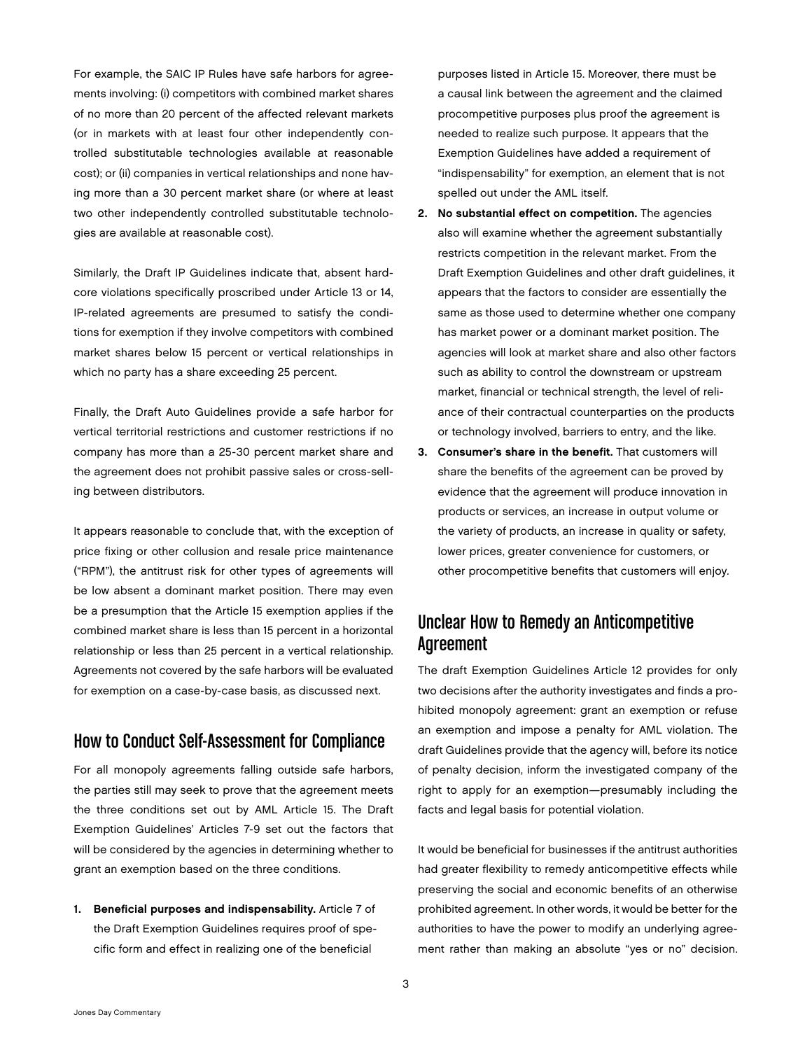For example, the SAIC IP Rules have safe harbors for agreements involving: (i) competitors with combined market shares of no more than 20 percent of the affected relevant markets (or in markets with at least four other independently controlled substitutable technologies available at reasonable cost); or (ii) companies in vertical relationships and none having more than a 30 percent market share (or where at least two other independently controlled substitutable technologies are available at reasonable cost).

Similarly, the Draft IP Guidelines indicate that, absent hardcore violations specifically proscribed under Article 13 or 14, IP-related agreements are presumed to satisfy the conditions for exemption if they involve competitors with combined market shares below 15 percent or vertical relationships in which no party has a share exceeding 25 percent.

Finally, the Draft Auto Guidelines provide a safe harbor for vertical territorial restrictions and customer restrictions if no company has more than a 25-30 percent market share and the agreement does not prohibit passive sales or cross-selling between distributors.

It appears reasonable to conclude that, with the exception of price fixing or other collusion and resale price maintenance ("RPM"), the antitrust risk for other types of agreements will be low absent a dominant market position. There may even be a presumption that the Article 15 exemption applies if the combined market share is less than 15 percent in a horizontal relationship or less than 25 percent in a vertical relationship. Agreements not covered by the safe harbors will be evaluated for exemption on a case-by-case basis, as discussed next.

## How to Conduct Self-Assessment for Compliance

For all monopoly agreements falling outside safe harbors, the parties still may seek to prove that the agreement meets the three conditions set out by AML Article 15. The Draft Exemption Guidelines' Articles 7-9 set out the factors that will be considered by the agencies in determining whether to grant an exemption based on the three conditions.

1. Beneficial purposes and indispensability. Article 7 of the Draft Exemption Guidelines requires proof of specific form and effect in realizing one of the beneficial

purposes listed in Article 15. Moreover, there must be a causal link between the agreement and the claimed procompetitive purposes plus proof the agreement is needed to realize such purpose. It appears that the Exemption Guidelines have added a requirement of "indispensability" for exemption, an element that is not spelled out under the AML itself.

- 2. No substantial effect on competition. The agencies also will examine whether the agreement substantially restricts competition in the relevant market. From the Draft Exemption Guidelines and other draft guidelines, it appears that the factors to consider are essentially the same as those used to determine whether one company has market power or a dominant market position. The agencies will look at market share and also other factors such as ability to control the downstream or upstream market, financial or technical strength, the level of reliance of their contractual counterparties on the products or technology involved, barriers to entry, and the like.
- 3. Consumer's share in the benefit. That customers will share the benefits of the agreement can be proved by evidence that the agreement will produce innovation in products or services, an increase in output volume or the variety of products, an increase in quality or safety, lower prices, greater convenience for customers, or other procompetitive benefits that customers will enjoy.

# Unclear How to Remedy an Anticompetitive Agreement

The draft Exemption Guidelines Article 12 provides for only two decisions after the authority investigates and finds a prohibited monopoly agreement: grant an exemption or refuse an exemption and impose a penalty for AML violation. The draft Guidelines provide that the agency will, before its notice of penalty decision, inform the investigated company of the right to apply for an exemption—presumably including the facts and legal basis for potential violation.

It would be beneficial for businesses if the antitrust authorities had greater flexibility to remedy anticompetitive effects while preserving the social and economic benefits of an otherwise prohibited agreement. In other words, it would be better for the authorities to have the power to modify an underlying agreement rather than making an absolute "yes or no" decision.